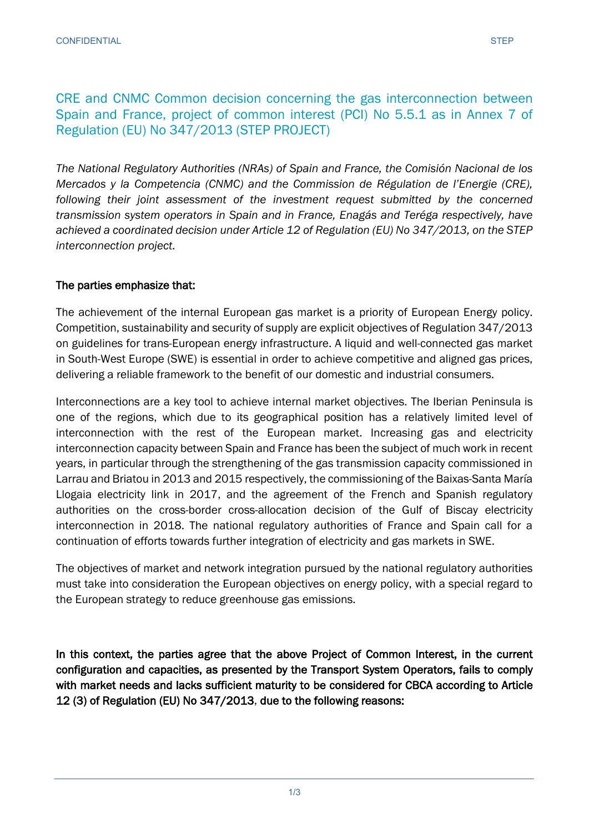CRE and CNMC Common decision concerning the gas interconnection between Spain and France, project of common interest (PCI) No 5.5.1 as in Annex 7 of Regulation (EU) No 347/2013 (STEP PROJECT)

*The National Regulatory Authorities (NRAs) of Spain and France, the Comisión Nacional de los Mercados y la Competencia (CNMC) and the Commission de Régulation de l'Energie (CRE), following their joint assessment of the investment request submitted by the concerned transmission system operators in Spain and in France, Enagás and Teréga respectively, have achieved a coordinated decision under Article 12 of Regulation (EU) No 347/2013, on the STEP interconnection project.*

#### The parties emphasize that:

The achievement of the internal European gas market is a priority of European Energy policy. Competition, sustainability and security of supply are explicit objectives of Regulation 347/2013 on guidelines for trans-European energy infrastructure. A liquid and well-connected gas market in South-West Europe (SWE) is essential in order to achieve competitive and aligned gas prices, delivering a reliable framework to the benefit of our domestic and industrial consumers.

Interconnections are a key tool to achieve internal market objectives. The Iberian Peninsula is one of the regions, which due to its geographical position has a relatively limited level of interconnection with the rest of the European market. Increasing gas and electricity interconnection capacity between Spain and France has been the subject of much work in recent years, in particular through the strengthening of the gas transmission capacity commissioned in Larrau and Briatou in 2013 and 2015 respectively, the commissioning of the Baixas-Santa María Llogaia electricity link in 2017, and the agreement of the French and Spanish regulatory authorities on the cross-border cross-allocation decision of the Gulf of Biscay electricity interconnection in 2018. The national regulatory authorities of France and Spain call for a continuation of efforts towards further integration of electricity and gas markets in SWE.

The objectives of market and network integration pursued by the national regulatory authorities must take into consideration the European objectives on energy policy, with a special regard to the European strategy to reduce greenhouse gas emissions.

In this context, the parties agree that the above Project of Common Interest, in the current configuration and capacities, as presented by the Transport System Operators, fails to comply with market needs and lacks sufficient maturity to be considered for CBCA according to Article 12 (3) of Regulation (EU) No 347/2013, due to the following reasons: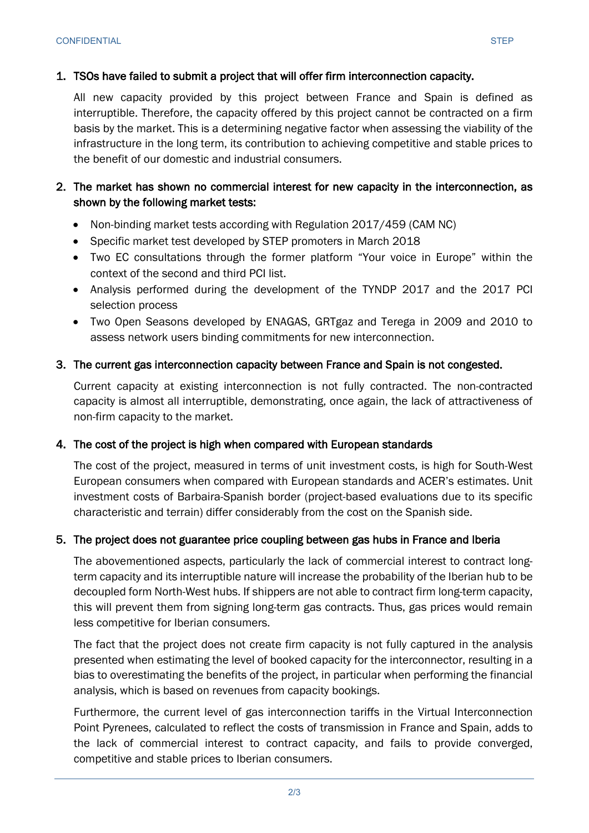### 1. TSOs have failed to submit a project that will offer firm interconnection capacity.

All new capacity provided by this project between France and Spain is defined as interruptible. Therefore, the capacity offered by this project cannot be contracted on a firm basis by the market. This is a determining negative factor when assessing the viability of the infrastructure in the long term, its contribution to achieving competitive and stable prices to the benefit of our domestic and industrial consumers.

## 2. The market has shown no commercial interest for new capacity in the interconnection, as shown by the following market tests:

- Non-binding market tests according with Regulation 2017/459 (CAM NC)
- Specific market test developed by STEP promoters in March 2018
- Two EC consultations through the former platform "Your voice in Europe" within the context of the second and third PCI list.
- Analysis performed during the development of the TYNDP 2017 and the 2017 PCI selection process
- Two Open Seasons developed by ENAGAS, GRTgaz and Terega in 2009 and 2010 to assess network users binding commitments for new interconnection.

# 3. The current gas interconnection capacity between France and Spain is not congested.

Current capacity at existing interconnection is not fully contracted. The non-contracted capacity is almost all interruptible, demonstrating, once again, the lack of attractiveness of non-firm capacity to the market.

## 4. The cost of the project is high when compared with European standards

The cost of the project, measured in terms of unit investment costs, is high for South-West European consumers when compared with European standards and ACER's estimates. Unit investment costs of Barbaira-Spanish border (project-based evaluations due to its specific characteristic and terrain) differ considerably from the cost on the Spanish side.

## 5. The project does not guarantee price coupling between gas hubs in France and Iberia

The abovementioned aspects, particularly the lack of commercial interest to contract longterm capacity and its interruptible nature will increase the probability of the Iberian hub to be decoupled form North-West hubs. If shippers are not able to contract firm long-term capacity, this will prevent them from signing long-term gas contracts. Thus, gas prices would remain less competitive for Iberian consumers.

The fact that the project does not create firm capacity is not fully captured in the analysis presented when estimating the level of booked capacity for the interconnector, resulting in a bias to overestimating the benefits of the project, in particular when performing the financial analysis, which is based on revenues from capacity bookings.

Furthermore, the current level of gas interconnection tariffs in the Virtual Interconnection Point Pyrenees, calculated to reflect the costs of transmission in France and Spain, adds to the lack of commercial interest to contract capacity, and fails to provide converged, competitive and stable prices to Iberian consumers.